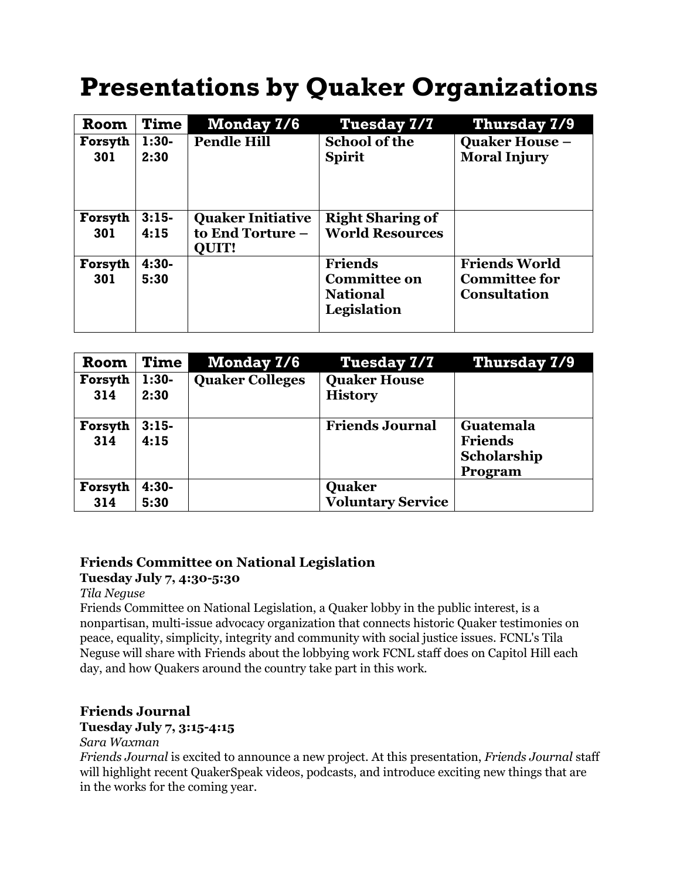# **Presentations by Quaker Organizations**

| <b>Room</b>    | <b>Time</b>     | <b>Monday 7/6</b>                                            | <b>Tuesday 7/7</b>                                                      | <b>Thursday 7/9</b>                                                 |
|----------------|-----------------|--------------------------------------------------------------|-------------------------------------------------------------------------|---------------------------------------------------------------------|
| Forsyth<br>301 | $1:30-$<br>2:30 | <b>Pendle Hill</b>                                           | <b>School of the</b><br><b>Spirit</b>                                   | <b>Quaker House -</b><br><b>Moral Injury</b>                        |
| Forsyth<br>301 | $3:15-$<br>4:15 | <b>Quaker Initiative</b><br>to End Torture -<br><b>OUIT!</b> | <b>Right Sharing of</b><br><b>World Resources</b>                       |                                                                     |
| Forsyth<br>301 | $4:30-$<br>5:30 |                                                              | <b>Friends</b><br><b>Committee on</b><br><b>National</b><br>Legislation | <b>Friends World</b><br><b>Committee for</b><br><b>Consultation</b> |

| <b>Room</b>    | <b>Time</b>     | <b>Monday 7/6</b>      | <b>Tuesday 7/7</b>                    | <b>Thursday 7/9</b>                                          |
|----------------|-----------------|------------------------|---------------------------------------|--------------------------------------------------------------|
| Forsyth<br>314 | $1:30-$<br>2:30 | <b>Quaker Colleges</b> | <b>Quaker House</b><br><b>History</b> |                                                              |
| Forsyth<br>314 | $3:15-$<br>4:15 |                        | <b>Friends Journal</b>                | <b>Guatemala</b><br><b>Friends</b><br>Scholarship<br>Program |
| Forsyth<br>314 | $4:30-$<br>5:30 |                        | Quaker<br><b>Voluntary Service</b>    |                                                              |

# **Friends Committee on National Legislation**

#### **Tuesday July 7, 4:30-5:30**

#### *Tila Neguse*

Friends Committee on National Legislation, a Quaker lobby in the public interest, is a nonpartisan, multi-issue advocacy organization that connects historic Quaker testimonies on peace, equality, simplicity, integrity and community with social justice issues. FCNL's Tila Neguse will share with Friends about the lobbying work FCNL staff does on Capitol Hill each day, and how Quakers around the country take part in this work.

# **Friends Journal**

#### **Tuesday July 7, 3:15-4:15**

#### *Sara Waxman*

*Friends Journal* is excited to announce a new project. At this presentation, *Friends Journal* staff will highlight recent QuakerSpeak videos, podcasts, and introduce exciting new things that are in the works for the coming year.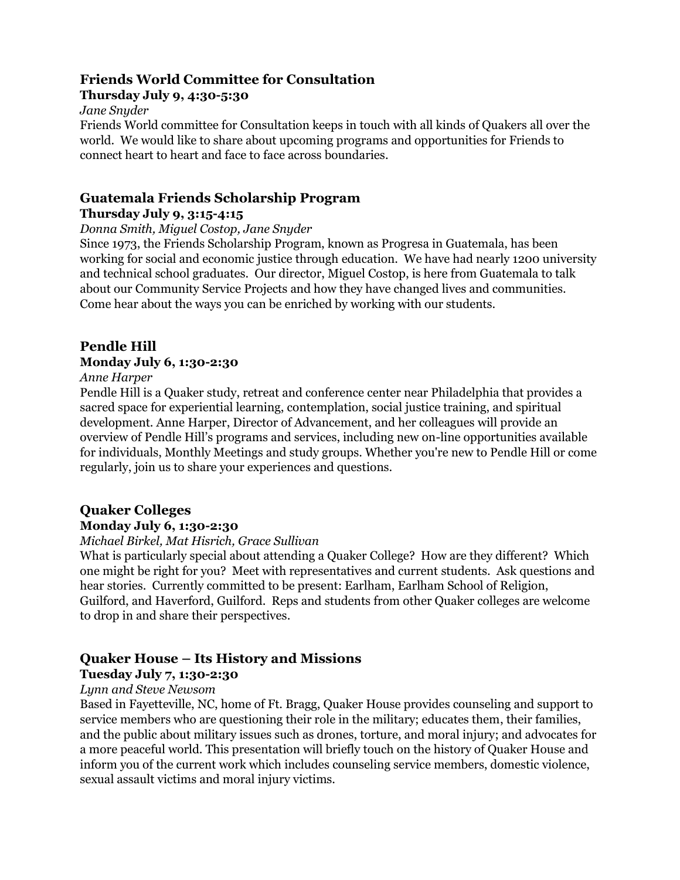# **Friends World Committee for Consultation**

#### **Thursday July 9, 4:30-5:30**

#### *Jane Snyder*

Friends World committee for Consultation keeps in touch with all kinds of Quakers all over the world. We would like to share about upcoming programs and opportunities for Friends to connect heart to heart and face to face across boundaries.

#### **Guatemala Friends Scholarship Program**

#### **Thursday July 9, 3:15-4:15**

#### *Donna Smith, Miguel Costop, Jane Snyder*

Since 1973, the Friends Scholarship Program, known as Progresa in Guatemala, has been working for social and economic justice through education. We have had nearly 1200 university and technical school graduates. Our director, Miguel Costop, is here from Guatemala to talk about our Community Service Projects and how they have changed lives and communities. Come hear about the ways you can be enriched by working with our students.

# **Pendle Hill**

# **Monday July 6, 1:30-2:30**

#### *Anne Harper*

Pendle Hill is a Quaker study, retreat and conference center near Philadelphia that provides a sacred space for experiential learning, contemplation, social justice training, and spiritual development. Anne Harper, Director of Advancement, and her colleagues will provide an overview of Pendle Hill's programs and services, including new on-line opportunities available for individuals, Monthly Meetings and study groups. Whether you're new to Pendle Hill or come regularly, join us to share your experiences and questions.

# **Quaker Colleges**

#### **Monday July 6, 1:30-2:30**

#### *Michael Birkel, Mat Hisrich, Grace Sullivan*

What is particularly special about attending a Quaker College? How are they different? Which one might be right for you? Meet with representatives and current students. Ask questions and hear stories. Currently committed to be present: Earlham, Earlham School of Religion, Guilford, and Haverford, Guilford. Reps and students from other Quaker colleges are welcome to drop in and share their perspectives.

#### **Quaker House – Its History and Missions**

# **Tuesday July 7, 1:30-2:30**

# *Lynn and Steve Newsom*

Based in Fayetteville, NC, home of Ft. Bragg, Quaker House provides counseling and support to service members who are questioning their role in the military; educates them, their families, and the public about military issues such as drones, torture, and moral injury; and advocates for a more peaceful world. This presentation will briefly touch on the history of Quaker House and inform you of the current work which includes counseling service members, domestic violence, sexual assault victims and moral injury victims.